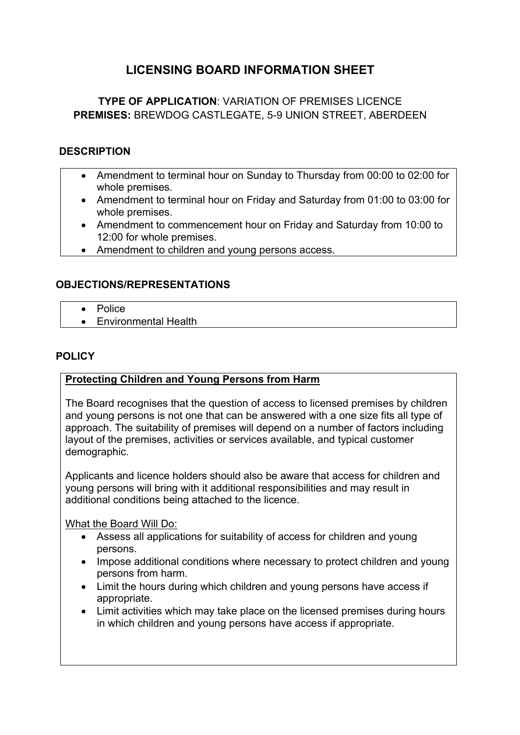# **LICENSING BOARD INFORMATION SHEET**

# **TYPE OF APPLICATION**: VARIATION OF PREMISES LICENCE **PREMISES:** BREWDOG CASTLEGATE, 5-9 UNION STREET, ABERDEEN

### **DESCRIPTION**

- Amendment to terminal hour on Sunday to Thursday from 00:00 to 02:00 for whole premises.
- Amendment to terminal hour on Friday and Saturday from 01:00 to 03:00 for whole premises.
- Amendment to commencement hour on Friday and Saturday from 10:00 to 12:00 for whole premises.
- Amendment to children and young persons access.

#### **OBJECTIONS/REPRESENTATIONS**

- Police
- Environmental Health

#### **POLICY**

#### **Protecting Children and Young Persons from Harm**

The Board recognises that the question of access to licensed premises by children and young persons is not one that can be answered with a one size fits all type of approach. The suitability of premises will depend on a number of factors including layout of the premises, activities or services available, and typical customer demographic.

Applicants and licence holders should also be aware that access for children and young persons will bring with it additional responsibilities and may result in additional conditions being attached to the licence.

What the Board Will Do:

- Assess all applications for suitability of access for children and young persons.
- Impose additional conditions where necessary to protect children and young persons from harm.
- Limit the hours during which children and young persons have access if appropriate.
- Limit activities which may take place on the licensed premises during hours in which children and young persons have access if appropriate.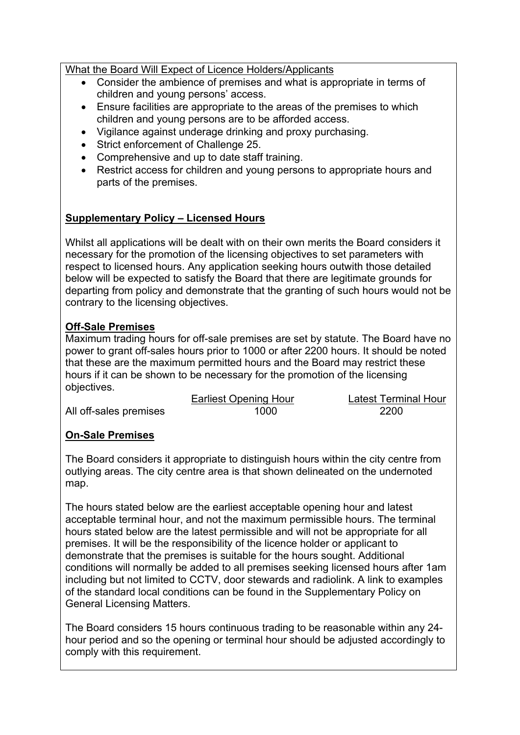What the Board Will Expect of Licence Holders/Applicants

- Consider the ambience of premises and what is appropriate in terms of children and young persons' access.
- Ensure facilities are appropriate to the areas of the premises to which children and young persons are to be afforded access.
- Vigilance against underage drinking and proxy purchasing.
- Strict enforcement of Challenge 25.
- Comprehensive and up to date staff training.
- Restrict access for children and young persons to appropriate hours and parts of the premises.

# **Supplementary Policy – Licensed Hours**

Whilst all applications will be dealt with on their own merits the Board considers it necessary for the promotion of the licensing objectives to set parameters with respect to licensed hours. Any application seeking hours outwith those detailed below will be expected to satisfy the Board that there are legitimate grounds for departing from policy and demonstrate that the granting of such hours would not be contrary to the licensing objectives.

# **Off-Sale Premises**

Maximum trading hours for off-sale premises are set by statute. The Board have no power to grant off-sales hours prior to 1000 or after 2200 hours. It should be noted that these are the maximum permitted hours and the Board may restrict these hours if it can be shown to be necessary for the promotion of the licensing objectives.

All off-sales premises 1000 1000 2200

Earliest Opening Hour Latest Terminal Hour

# **On-Sale Premises**

The Board considers it appropriate to distinguish hours within the city centre from outlying areas. The city centre area is that shown delineated on the undernoted map.

The hours stated below are the earliest acceptable opening hour and latest acceptable terminal hour, and not the maximum permissible hours. The terminal hours stated below are the latest permissible and will not be appropriate for all premises. It will be the responsibility of the licence holder or applicant to demonstrate that the premises is suitable for the hours sought. Additional conditions will normally be added to all premises seeking licensed hours after 1am including but not limited to CCTV, door stewards and radiolink. A link to examples of the standard local conditions can be found in the Supplementary Policy on General Licensing Matters.

The Board considers 15 hours continuous trading to be reasonable within any 24 hour period and so the opening or terminal hour should be adjusted accordingly to comply with this requirement.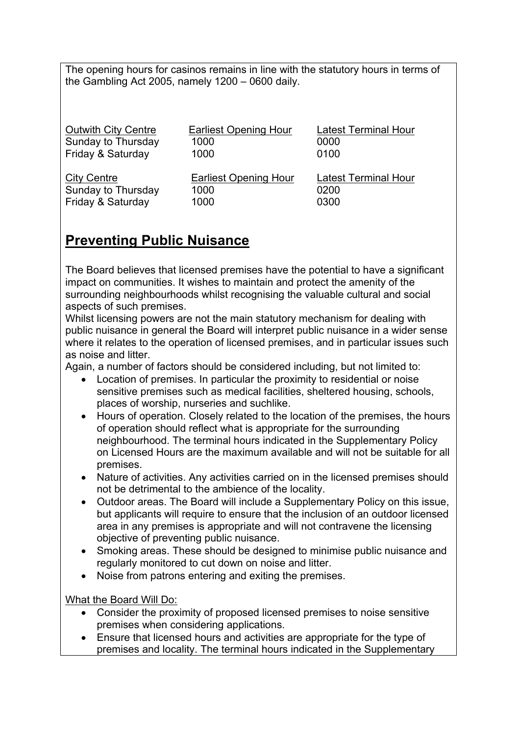The opening hours for casinos remains in line with the statutory hours in terms of the Gambling Act 2005, namely 1200 – 0600 daily.

| <b>Outwith City Centre</b> | <b>Earliest Opening Hour</b> | <b>Latest Terminal Hour</b> |
|----------------------------|------------------------------|-----------------------------|
| Sunday to Thursday         | 1000                         | 0000                        |
| Friday & Saturday          | 1000                         | 0100                        |
| <b>City Centre</b>         | <b>Earliest Opening Hour</b> | <b>Latest Terminal Hour</b> |
| Sunday to Thursday         | 1000                         | 0200                        |
| Friday & Saturday          | 1000                         | 0300                        |

# **Preventing Public Nuisance**

The Board believes that licensed premises have the potential to have a significant impact on communities. It wishes to maintain and protect the amenity of the surrounding neighbourhoods whilst recognising the valuable cultural and social aspects of such premises.

Whilst licensing powers are not the main statutory mechanism for dealing with public nuisance in general the Board will interpret public nuisance in a wider sense where it relates to the operation of licensed premises, and in particular issues such as noise and litter.

Again, a number of factors should be considered including, but not limited to:

- Location of premises. In particular the proximity to residential or noise sensitive premises such as medical facilities, sheltered housing, schools, places of worship, nurseries and suchlike.
- Hours of operation. Closely related to the location of the premises, the hours of operation should reflect what is appropriate for the surrounding neighbourhood. The terminal hours indicated in the Supplementary Policy on Licensed Hours are the maximum available and will not be suitable for all premises.
- Nature of activities. Any activities carried on in the licensed premises should not be detrimental to the ambience of the locality.
- Outdoor areas. The Board will include a Supplementary Policy on this issue, but applicants will require to ensure that the inclusion of an outdoor licensed area in any premises is appropriate and will not contravene the licensing objective of preventing public nuisance.
- Smoking areas. These should be designed to minimise public nuisance and regularly monitored to cut down on noise and litter.
- Noise from patrons entering and exiting the premises.

What the Board Will Do:

- Consider the proximity of proposed licensed premises to noise sensitive premises when considering applications.
- Ensure that licensed hours and activities are appropriate for the type of premises and locality. The terminal hours indicated in the Supplementary